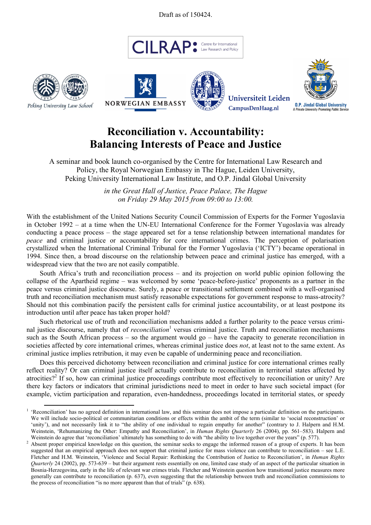Draft as of 150424.











## **Reconciliation v. Accountability: Balancing Interests of Peace and Justice**

A seminar and book launch co-organised by the Centre for International Law Research and Policy, the Royal Norwegian Embassy in The Hague, Leiden University, Peking University International Law Institute, and O.P. Jindal Global University

> *in the Great Hall of Justice, Peace Palace, The Hague on Friday 29 May 2015 from 09:00 to 13:00.*

With the establishment of the United Nations Security Council Commission of Experts for the Former Yugoslavia in October 1992 – at a time when the UN-EU International Conference for the Former Yugoslavia was already conducting a peace process – the stage appeared set for a tense relationship between international mandates for *peace* and criminal justice or accountability for core international crimes. The perception of polarisation crystallized when the International Criminal Tribunal for the Former Yugoslavia ('ICTY') became operational in 1994. Since then, a broad discourse on the relationship between peace and criminal justice has emerged, with a widespread view that the two are not easily compatible.

South Africa's truth and reconciliation process – and its projection on world public opinion following the collapse of the Apartheid regime – was welcomed by some 'peace-before-justice' proponents as a partner in the peace versus criminal justice discourse. Surely, a peace or transitional settlement combined with a well-organised truth and reconciliation mechanism must satisfy reasonable expectations for government response to mass-atrocity? Should not this combination pacify the persistent calls for criminal justice accountability, or at least postpone its introduction until after peace has taken proper hold?

Such rhetorical use of truth and reconciliation mechanisms added a further polarity to the peace versus criminal justice discourse, namely that of *reconciliation*<sup>1</sup> versus criminal justice. Truth and reconciliation mechanisms such as the South African process – so the argument would go – have the capacity to generate reconciliation in societies affected by core international crimes, whereas criminal justice does *not*, at least not to the same extent. As criminal justice implies retribution, it may even be capable of undermining peace and reconciliation.

Does this perceived dichotomy between reconciliation and criminal justice for core international crimes really reflect reality? Or can criminal justice itself actually contribute to reconciliation in territorial states affected by atrocities?<sup>2</sup> If so, how can criminal justice proceedings contribute most effectively to reconciliation or unity? Are there key factors or indicators that criminal jurisdictions need to meet in order to have such societal impact (for example, victim participation and reparation, even-handedness, proceedings located in territorial states, or speedy

<sup>&</sup>lt;sup>1</sup> 'Reconciliation' has no agreed definition in international law, and this seminar does not impose a particular definition on the participants. We will include socio-political or communitarian conditions or effects within the ambit of the term (similar to 'social reconstruction' or 'unity'), and not necessarily link it to "the ability of one individual to regain empathy for another" (contrary to J. Halpern and H.M. Weinstein, 'Rehumanizing the Other: Empathy and Reconciliation', in *Human Rights Quarterly* 26 (2004), pp. 561–583). Halpern and Weinstein do agree that 'reconciliation' ultimately has something to do with "the ability to live together over the years" (p. 577).

<sup>&</sup>lt;sup>2</sup> Absent proper empirical knowledge on this question, the seminar seeks to engage the informed reason of a group of experts. It has been suggested that an empirical approach does not support that criminal justice for mass violence can contribute to reconciliation – see L.E. Fletcher and H.M. Weinstein, 'Violence and Social Repair: Rethinking the Contribution of Justice to Reconciliation', in *Human Rights Quarterly* 24 (2002), pp. 573-639 – but their argument rests essentially on one, limited case study of an aspect of the particular situation in Bosnia-Herzegovina, early in the life of relevant war crimes trials. Fletcher and Weinstein question how transitional justice measures more generally can contribute to reconciliation (p. 637), even suggesting that the relationship between truth and reconciliation commissions to the process of reconciliation "is no more apparent than that of trials" (p. 638).